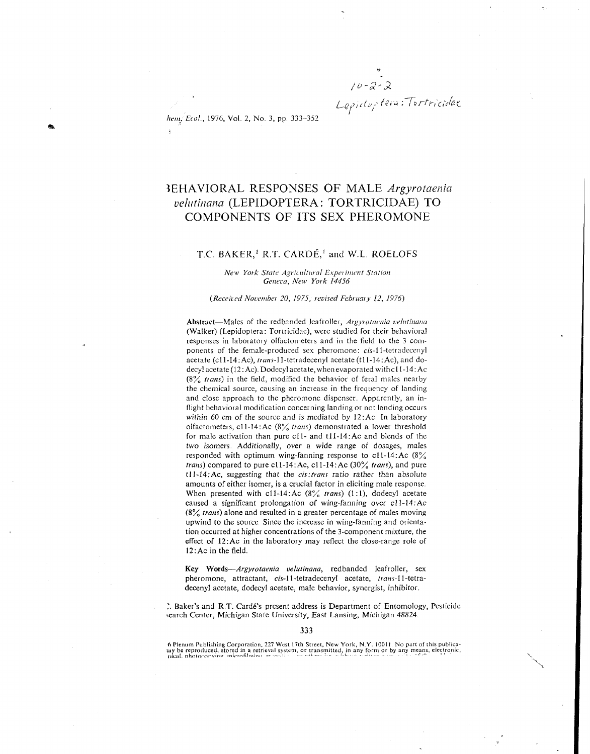*q,,,~* **tei.** *:70r&,i;,!K* 

*hem. Ecol.*, 1976, Vol. 2, No. 3, pp. 333-352

# BEHAVIORAL RESPONSES OF MALE *Argyrotaenia velutinana* (LEPIDOPTERA: TORTRICIDAE) TO COMPONENTS OF ITS SEX PHEROMONE

### T.C. BAKER,<sup>1</sup> R.T. CARDÉ,<sup>1</sup> and W.L. ROELOFS

#### New York State Agricultural Experiment Station Geneva, *New* York 14456

#### (Received November 20, 1975, revised February 12, 1976)

Abstract-Males of the redbanded leafroller, Argyrotacnia velutinana (Walker) (Lepidoptera: Tortricidae), were studied for their behavioral responses in laboratory olfactometers and in the field to the 3 coniponents of the female-produced sex pheromone: cis-1 1-tetradecenyl acetate (c11-14:Ac), trans-11-tetradecenyl acetate (t11-14:Ac), and dodecyl acetate (12:Ac). Dodecyl acetate, when evaporated with c11-14:Ac  $(8\%$  trans) in the field, modified the behavior of feral males nearby the chemical source, causing an increase in the frequency of landing and close approach to the pheromone dispenser. Apparently, an inflight behavioral modification concerning landing or not landing occurs within 60 cm of the source and is mediated by 12:Ac In laboratory olfactometers, c11-14:Ac  $(8\frac{9}{6}$  trans) demonstrated a lower threshold for male activation than pure ell- and tll-14:Ac and blends of the two isomers. Additionally, over a wide range of dosages, males responded with optimum wing-fanning response to  $c11-14$ : Ac  $(8\%)$ trans) compared to pure cl1-14:Ac, cl1-14:Ac  $(30\%$  trans), and pure  $t11-14$ : Ac, suggesting that the *cis*: trans ratio rather than absolute amounts of either isomer, is a crucial factor in eliciting male response When presented with c11-14:Ac  $(8\frac{9}{6}$  trans) (1:1), dodecyl acetate caused a significant prolongation of wing-fanning over cl I-14:Ac  $(8\frac{2}{10})$  *trans*) alone and resulted in a greater percentage of males moving upwind to the source Since the increase in wing-fanning and orientation occurred at higher concentrations of the 3-component mixture, the effect of 12:Ac in the laboratory may reflect the close-range role of **12:Ac** in the field

**Key** Words-Argyrotaenia velutinana, redbanded leafroller, sex pheromone, attractant, cis-11-tetradecenyl acetate, trans-ll-tetradecenyl acetate, dodecyl acetate, male behavior, synergist, inhibitor

1, Baker's and R T. Cardi's present address is Department of Entomology, Pesticide search Center, Michigan State University, East Lansing, Michigan 48824.

**ft** Plenum Publishing Corporation. 227 West 1'7th Street, New York, N **Y.** ICOI I No part of this publica tay be reproduced, stored in a retrieval system, or transmitted, in any form or by any means, electronic, night, photocopying microfilming respectively and the statement of the statement of the statement of the statement o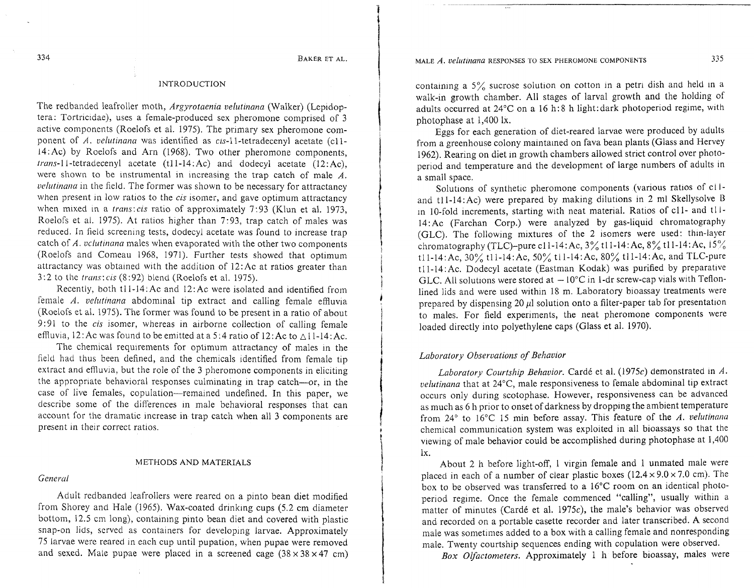### INTRODUCTION

The redbanded leafroller moth, Argyrotaenia velutinana (Walker) (Lepidoptera. Tortricidae), uses a female-produced sex pheromone comprised of 3 active components (Roelofs et al. 1975). The primary sex pheromone component of *A. velutinana* was identified as cis-11-tetradecenyl acetate (c11l4:Ac) by Roelofs and Arn (1968). Two other pheromone components, trans-11-tetradecenyl acetate (tll-14.Ac) and dodecyl acetate (12:Ac), were shown to be instrumental in increasing the trap catch of male *A.*  velutinana in the field. The former was shown to be necessary for attractancy when present in low ratios to the *cis* isomer, and gave optimum attractancy when mixed in a *trans:cis* ratio of approximately 7:93 (Klun et al. 1973, Roelofs et al. 1975). At ratios higher than 7.93, trap catch of males was reduced. In field screening tests, dodecyl acetate was found to increase trap catch of *A. vclutinana* males when evaporated with the other two components (Roelofs and Comeau 1968, 1971). Further tests showed that optimum attractancy was obtained with the addition of 12:Ac at ratios greater than  $3:2$  to the *trans: cis* (8:92) blend (Roelofs et al. 1975).

Recently, both tll-14.Ac and 12:Ac were isolated and identified from female  $\Lambda$ . *velutinana* abdominal tip extract and calling female effluvia (Roelofs et al. 1975). The former was found to be present in a ratio of about 9:91 to the *cis* isomer, whereas in airborne collection of calling female effluvia, 12: Ac was found to be emitted at a 5:4 ratio of 12: Ac to  $\triangle 11$ -14: Ac.

The chemical requirements for optimum attractancy of males in the field had thus been defined, and the chemicals identified from female tip extract and effluvia, but the role of the 3 pheromone components in eliciting the appropriate behavioral responses culminating in trap catch-or, in the case of live females, copulation-remained undefined. In this paper, we describe some of the differences in male behavioral responses that can account for the dramatic increase in trap catch when all 3 components are present in their correct ratios.

#### METHODS AND MATERIALS

#### General

Adult redbanded leafrollers were reared on a pinto bean diet modified from Shorey and Hale (1965). Wax-coated drinking cups (5.2 cm diameter bottom, 12.5 cm long), containing pinto bean diet and covered with plastic snap-on lids, served as containers for developing larvae. Approximately 75 larvae were reared in each cup until pupation, when pupae were removed and sexed. Male pupae were placed in a screened cage  $(38 \times 38 \times 47 \text{ cm})$  containing a  $5\%$  sucrose solution on cotton in a petri dish and held in a walk-in growth chamber. All stages of larval growth and the holding of adults occurred at  $24^{\circ}$ C on a 16 h: 8 h light:dark photoperiod regime, with photophase at 1,400 lx.

Eggs for each generation of diet-reared larvae were produced by adults from a greenhouse colony maintained on fava bean plants (Glass and Hervey 1962). Rearing on diet in growth chambers allowed strict control over photoperiod and temperature and the development of large numbers of adults in a small space.

Solutions of synthetic pheromone components (various ratios of cl land tl1-14:Ac) were prepared by making dilutions in 2 ml Skellysolve B in 10-fold increments, starting with neat material. Ratios of cll- and tl I-14:Ac (Farchan Corp.) were analyzed by gas-liquid chromatography (GLC). The following mixtures of the 2 isomers were used: thin-layer chromatography (TLC)-pure cll-14:Ac, 3% tll-14:Ac, 8% tll-l4:Ac, 15% tll-14:Ac, 30% tll-14:Ac, 50% tll-14:Ac, 80% tll-14:Ac, and TLC-pure tll-14:Ac. Dodecyl acetate (Eastman Kodak) was purified by preparative GLC. All solutions were stored at  $-10^{\circ}$ C in 1-dr screw-cap vials with Teflonlined lids and were used within 18 m. Laboratory bioassay treatments were prepared by dispensing 20  $\mu$ l solution onto a filter-paper tab for presentation to males. For field experiments, the neat pheromone components were loaded directly into polyethylene caps (Glass et al. 1970).

### Laboratory Observations of Behavior

Laboratory Courtship Behavior. Cardé et al. (1975c) demonstrated in A. velutinana that at  $24^{\circ}$ C, male responsiveness to female abdominal tip extract occurs only during scotophase. However, responsiveness can be advanced as much as 6 h prior to onset of darkness by dropping the ambient temperature from 24° to 16°C 15 min before assay. This feature of the *A. velutinana* chemical communication system was exploited in all bioassays so that the viewing of male behavior could be accomplished during photophase at 1,400 lx.

About 2 h before light-off, 1 virgin female and 1 unmated male were placed in each of a number of clear plastic boxes  $(12.4 \times 9.0 \times 7.0 \text{ cm})$ . The box to be observed was transferred to a  $16^{\circ}$ C room on an identical photoperiod regime. Once the female commenced "calling", usually within a matter of minutes (Cardé et al. 1975 $c$ ), the male's behavior was observed and recorded on a portable casette recorder and later transcribed. A second male was sometimes added to a box with a calling female and nonresponding male. Twenty courtship sequences ending with copulation were observed.

Box Olfactometers. Approximately 1 h before bioassay, males were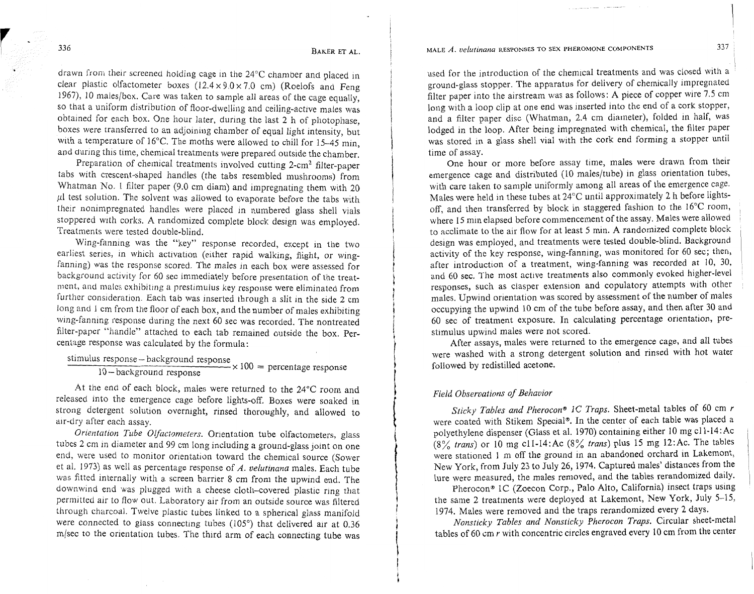MALE  $\overline{A}$ , velutinana RESPONSES TO SEX PHEROMONE COMPONENTS

drawn from their screened holding cage in the 24°C chamber and placed in clear plastic olfactometer boxes  $(12.4 \times 9.0 \times 7.0 \text{ cm})$  (Roelofs and Feng 1967), 10 niales/box. Care was taken to sample all areas of the cage equally, so that a uniform distribution of floor-dwelling and ceiling-active males was obtained for each box. One hour later, during the last 2 h of photophase, boxes were transferred to an adjoining chamber of equal light intensity, but with a temperature of 16°C. The moths were allowed to chill for 15-45 min, and during this time, chemical treatments were prepared outside the chamber.

Preparation of chemical treatments involved cutting 2-cm2 filter-paper tabs with crescent-shaped handles (the tabs resembled mushrooms) from Whatman No. 1 filter paper (9.0 cm diam) and impregnating them with 20  $\mu$ l test solution. The solvent was allowed to evaporate before the tabs with their nonimpregnated handles were placed in numbered glass shell vials stoppered with corks. A randomized complete block design was employed. Treatments were tested double-blind.

Wing-fanning was the "key" response recorded, except in the two earliest series, in which activation (either rapid walking, flight, or wingfanning) was the response scored. The males in each box were assessed for background activity for 60 sec immediately before presentation of the treatment, and males exhibiting a prestimulus key response were eliminated from further consideration. Each tab was inserted through a slit in the side 2 cm long and 1 cm from the floor of each box, and the number of males exhibiting wing-fanning response during the next 60 sec was recorded. The nontreated filter-paper "handle" attached to each tab remained outside the box. Percentage response was calculated by the formula:

tage response was calculated by the formulations. response – background response<br> $0 - \text{background response} \times 100 = \text{percentage response}$ 

At the end of each block, males were returned to the 24°C room and released into the emergence cage before lights-off. Boxes were soaked in strong detergent solution overnight, rinsed thoroughly, and allowed to air-dry after each assay.

*Orientation Tube Olfactorneters.* Orientation tube olfactometers, glass tubes 2 cm in diameter and 99 cm long including a ground-glass joint on one end, were used to monitor orientation toward the chemical source (Sower et al. 1973) as well as percentage response of A. *velutinana* males. Each tube was fitted internally with a screen barrier 8 cm from the upwind end. The downwind end was plugged with a cheese cloth-covered plastic ring that permitted air to flow out. Laboratory air from an outside source was filtered through charcoal. Twelve plastic tubes linked to a spherical glass manifold were connected to glass connecting tubes (105°) that delivered air at 0.36 m/sec to the orientation tubes. The third arm of each connecting tube was used for the introduction of the chemical treatments and was closed with a ground-glass stopper. The apparatus for delivery of chemically impregnated filter paper into the airstream was as follows: A piece of copper wire 7.5 cm long with a loop clip at one end was inserted into the end of a cork stopper, and a filter paper disc (Whatman, 2.4 cm diameter), folded in half, was lodged in the loop. After being impregnated with chemical, the filter paper was stored in a glass shell vial with the cork end forming a stopper until time of assay.

One hour or more before assay time, males were drawn from their emergence cage and distributed (10 males/tube) in glass orientation tubes, with care taken to sample uniformly among all areas of the emergence cage. Males were held in these tubes at 24°C until approximately 2 h before lightsoff, and then transferred by block in staggered fashion to the  $16^{\circ}$ C room, where 15 min elapsed before commencement of the assay. Males were allowed to acclimate to the air flow for at least *5* mm. A randomized complete block design was employed, and treatments were tested double-blind. Background activity of the key response, wing-fanning, was monitored for 60 sec; then, after introduction of a treatment, wing-fanning was recorded at 10, 30, and 60 sec. The most active treatments also commonly evoked higher-level responses, such as clasper extension and copulatory attempts with other males. Upwind orientation was scored by assessment of the number of males occupying the upwind 10 cm of the tube before assay, and then after 30 and 60 sec of treatment exposure. In calculating percentage orientation, prestimulus upwind males were not scored.

After assays, males were returned to the emergence cage, and all tubes were washed with a strong detergent solution and rinsed with hot water followed by redistilled acetone.

### *Field Observations of Behavior*

*Sticky Tables and Pherocona* 1C *Traps.* Sheet-metal tables of 60 cm *r*  were coated with Stikem Special®. In the center of each table was placed a polyethylene dispenser (Glass et al. 1970) containing either 10 mg cl1-14: Ac (8% *trans)* or 10 mg cll-14:Ac (8% *trans)* plus *15* mg 12:Ac. The tables were stationed 1 m off the ground in an abandoned orchard in Lakemont, New York, from July 23 to July 26, 1974. Captured males' distances from the lure were measured, the males removed, and the tables rerandomized daily.

Pherocon® 1C (Zoecon Corp., Palo Alto, California) insect traps using the same 2 treatments were deployed at Lakemont, New York, July 5-15, 1974. Males were removed and the traps rerandomized every 2 days.

*Nonsticky Tables and Nonsticky Pherocon Traps.* Circular sheet-metal tables of 60 cm *r* with concentric circles engraved every 10 cm from the center

336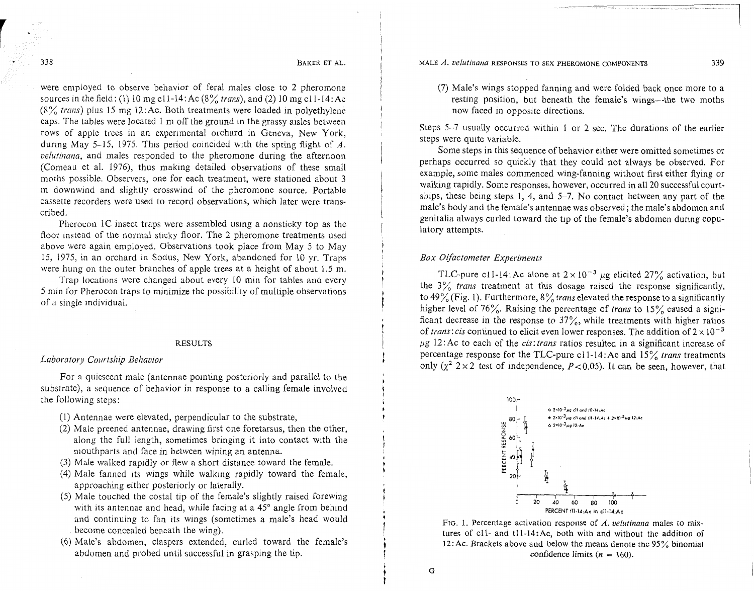338

BAKER ET AL.

were employed to observe behavior of feral males close to 2 pheromone sources in the field: (1) 10 mg cl1-14: Ac  $(8\frac{9}{6}$  trans), and (2) 10 mg cl1-14: Ac  $(8\%$  trans) plus 15 mg 12:Ac. Both treatments were loaded in polyethylene caps. The tables were located 1 m off the ground in the grassy aisles between rows of apple trees in an experimental orchard in Geneva, New York, during May 5-15, 1975. This period coincided with the spring flight of  $\dot{A}$ . velutinana, and males responded to the pheromone during the afternoon (Comeau et al. 1976), thus making detailed observations of these small moths possible. Observers, one for each treatment, were stationed about 3 m downwind and slightly crosswind of the pheromone source. Portable cassette recorders were used to record observations, which later were transcribed.

Pherocon  $1C$  insect traps were assembled using a nonsticky top as the floor instead of the normal sticky floor. The 2 pheromone treatments used above were again employed. Observations took place from May 5 to May 15, 1975, in an orchard in Sodus, New York, abandoned for 10 yr. Traps were hung on the outer branches of apple trees at a height of about  $1.5$  m.

Trap locations were changed about every 10 min for tables and every 5 min for Pherocon traps to minimize the possibility of multiple observations of a single individual.

### RESULTS

### Laboratory Courtship Behavior

For a quiescent male (antennae pointing posteriorly and parallel to the substrate), a sequence of behavior in response to a calling female involved the following steps:

- (I) Antennae were elevated, perpendicular to the substrate,
- $(2)$  Male preened antennae, drawing first one foretarsus, then the other, along the full length, sometimes bringing it into contact with the mouthparts and face in between wiping an antenna.
- (3) Male walked rapidly or flew a short distance toward the female.
- $(4)$  Male fanned its wings while walking rapidly toward the female, approaching either posteriorly or laterally.
- $(5)$  Male touched the costal tip of the female's slightly raised forewing with its antennae and head, while facing at a  $45^{\circ}$  angle from behind and continuing to fan its wings (sometimes a male's head would become concealed beneath the wing).
- (6) Male's abdomen, claspers extended, curled toward the female's abdomen and probed until successful in grasping the tip.

MALE *A. velutinana* RESPONSES TO SEX PHEROMONE COMPONENTS **339** 

(7) Male's wings stopped fanning and were folded back once more to a resting position, but beneath the female's wings-the two moths now faced in opposite directions.

Steps  $5-7$  usually occurred within 1 or 2 sec. The durations of the earlier steps were quite variable.

Some steps in this sequence of behavior either were omitted sometimes or perhaps occurred so quickly that they could not always be observed. For example, some males commenced wing-fanning without first either flying or walking rapidly. Some responses, however, occurred in all 20 successful courtships, these being steps 1, 4, and 5-7. No contact between any part of the male's body and the female's antennae was observed; the male's abdomen and genitalia always curled toward the tip of the female's abdomen during copulatory attempts.

### Box Olfactometer Experiments

TLC-pure c11-14: Ac alone at  $2 \times 10^{-3}$  µg elicited 27% activation, but the  $3\%$  trans treatment at this dosage raised the response significantly, to 49% (Fig. 1). Furthermore,  $8\%$  trans elevated the response to a significantly higher level of 76%. Raising the percentage of trans to 15% caused a significant decrease in the response to  $37\%$ , while treatments with higher ratios of trans: cis continued to elicit even lower responses. The addition of  $2 \times 10^{-3}$  $\mu$ g 12:Ac to each of the *cis: trans* ratios resulted in a significant increase of percentage response for the TLC-pure c11-14: Ac and  $15\%$  trans treatments only  $(\chi^2$  2 × 2 test of independence, P < 0.05). It can be seen, however, that



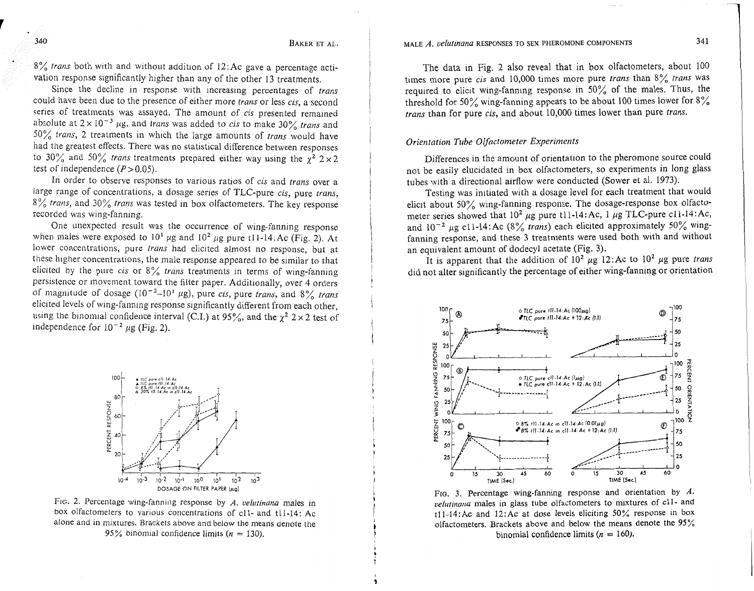8% trans both with and without addition of 12:Ac gave a percentage activation response significantly higher than any of the other 13 treatments.

Since the decline in response with increasing percentages of trans could have been due to the presence of either more trans or less cis, a second series of treatments was assayed. The amount of cis presented remained absolute at  $2 \times 10^{-3}$  µg, and trans was added to cis to make 30% trans and  $50\%$  trans, 2 treatments in which the large amounts of trans would have had the greatest effects. There was no statistical difference between responses to 30% and 50% trans treatments prepared either way using the  $\chi^2$  2 × 2 test of independence  $(P>0.05)$ .

In order to observe responses to various ratios of cis and trans over a large range of concentrations, a dosage series of TLC-pure cis, pure trans, 8% trans, and 30% trans was tested in box olfactometers. The key response recorded was wing-fanning.

One unexpected result was the occurrence of wing-fanning response when males were exposed to  $10<sup>1</sup> \mu$ g and  $10<sup>2</sup> \mu$ g pure ti 1-14.Ac (Fig. 2). At lower concentrations, pure trans had elicited almost no response, but at these higher concentrations, the male response appeared to be similar to that elicited by the pure cis or  $8\%$  trans treatments in terms of wing-fanning persistence or movement toward the filter paper. Additionally, over 4 orders of magnitude of dosage ( $10^{-2}$ - $10^{1}$  µg), pure *cis*, pure *trans*, and 8% *trans* elicited levels of wing-fanning response significantly different from each other, using the binomial confidence interval (C.I.) at  $95\%$ , and the  $\chi^2$  2 × 2 test of independence for  $10^{-2} \mu$ g (Fig. 2).



FIG. 2. Percentage wing-fanning response by *A. velutinana* males in box olfactometers to various concentrations of cl1- and tl1-14: Ac alone and in mixtures. Brackets above and below the means denote the 95% binomial confidence limits  $(n = 130)$ .

The data in Fig. 2 also reveal that in box olfactometers, about 100 times more pure cis and 10,000 times more pure trans than  $8\%$  trans was requlred to elicit wing-fanning response in 50% of the males. Thus, the threshold for 50% wing-fanning appears to be about 100 times lower for  $8\%$ trans than for pure cis, and about 10,000 times lower than pure trans.

### Orientation Tube Olfactometer Experiments

Differences in the amount of orientation to the pheromone source could not be easily elucidated in box olfactometers, so experiments in long glass tubes with a directional airflow were conducted (Sower et al. 1973).

Testing was initiated with a dosage level for each treatment that would elicit about  $50\%$  wing-fanning response. The dosage-response box olfactometer series showed that  $10^2 \mu$ g pure tll-14: Ac, 1  $\mu$ g TLC-pure cll-14: Ac, and  $10^{-2}$  µg cl1-14:Ac (8% trans) each elicited approximately 50% wingfanning response, and these 3 treatments were used both with and without an equivalent amount of dodecyl acetate (Fig. **3).** 

It is apparent that the addition of  $10^2 \mu g$  12:Ac to  $10^2 \mu g$  pure trans did not alter significantly the percentage of either wing-fanning or orientation



FIG. 3. Percentage wing-fanning response and orientation by *A*.  $velutinana$  males in glass tube olfactometers to mixtures of c11- and tll-14:Ac and 12:Ac at dose levels eliciting  $50\%$  response in box olfactometers. Brackets above and below the means denote the 95% binomial confidence limits  $(n = 160)$ .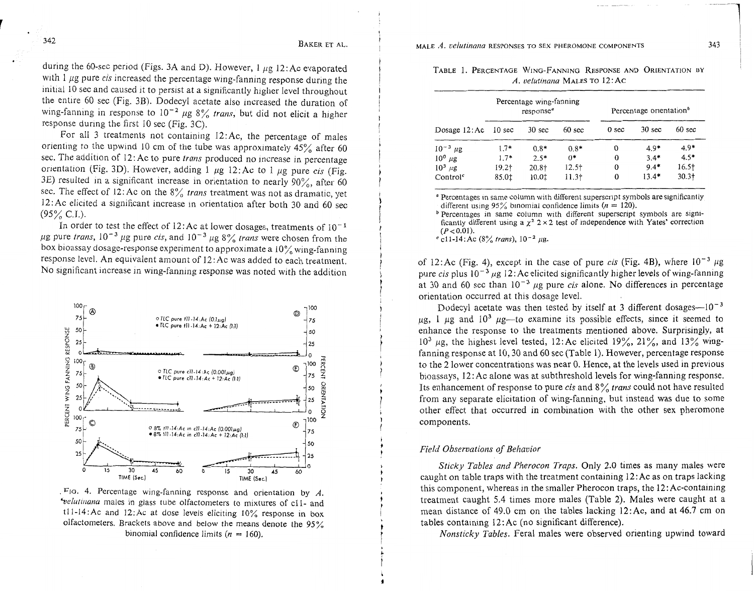during the 60-sec period (Figs. 3A and D). However,  $1 \mu g$  12:Ac evaporated with 1  $\mu$ g pure *cis* increased the percentage wing-fanning response during the initial 10 sec and caused it to persist at a significantly higher level throughout the entire 60 sec (Fig. 3B). Dodecyl acetate also increased the duration of wing-fanning in response to  $10^{-2}$  µg  $8\%$  *trans*, but did not elicit a higher response during the first 10 sec (Fig. 3C).

For all 3 treatments not containing  $12:Ac$ , the percentage of males orienting to the upwind 10 cm of the tube was approximately  $45\%$  after 60 sec. The addition of 12: Ac to pure *trans* produced no increase in percentage orientation (Fig. 3D). However, adding 1  $\mu$ g 12:Ac to 1  $\mu$ g pure *cis* (Fig. 3E) resulted in a significant increase in orientation to nearly  $90\%$ , after 60 sec. The effect of 12: Ac on the 8% *trans* treatment was not as dramatic, yet 12:Ac elicited a significant increase in orientation after both 30 and 60 sec  $(95\% \text{ C.I.}).$ 

In order to test the effect of 12:Ac at lower dosages, treatments of  $10^{-1}$  $\mu$ g pure *trans*,  $10^{-3}$   $\mu$ g pure *cis*, and  $10^{-3}$   $\mu$ g 8% *trans* were chosen from the box bioassay dosage-response experiment to approximate a  $10\%$  wing-fanning response level. An equivalent amount of 12: Ac was added to each treatment. No significant increase in wing-fanning response was noted with the addition



 $F_{\text{IG}}$ . 4. Percentage wing-fanning response and orientation by  $A$ . *'velutinana* males in glass tube olfactometers to mixtures of c11- and tl1-14:Ac and 12:Ac at dose levels eliciting  $10\%$  response in box olfactometers. Brackets above and below the means denote the 95% binomial confidence limits ( $n = 160$ ).

|  | TABLE 1. PERCENTAGE WING-FANNING RESPONSE AND ORIENTATION BY |  |  |
|--|--------------------------------------------------------------|--|--|
|  | A. velutinana MALES TO 12:AC                                 |  |  |

|                      | Percentage wing-fanning<br>response <sup>a</sup> |                   | Percentage orientation <sup><i>o</i></sup> |                  |                  |                   |
|----------------------|--------------------------------------------------|-------------------|--------------------------------------------|------------------|------------------|-------------------|
| Dosage $12:Ac$       | $10 \text{ sec}$                                 | $30 \text{ sec}$  | $60 \text{ sec}$                           | 0 <sub>sec</sub> | $30 \text{ sec}$ | $60 \text{ sec}$  |
| $10^{-3} \mu g$      | $1.7*$                                           | $0.8*$            | $0.8*$                                     | 0                | $4.9*$           | $4.9*$            |
| $10^{\circ}$ µg      | $1.7*$                                           | $2.5*$            | $0*$                                       | $\Omega$         | $3.4*$           | $4.5*$            |
| $10^3 \mu g$         | $19.2+$                                          | 20.8 <sup>†</sup> | $12.5$ <sup>+</sup>                        | $\Omega$         | $9.4*$           | 16.5 <sup>†</sup> |
| Control <sup>c</sup> | 85.0‡                                            | 10.01             | 11.3 <sup>†</sup>                          | 0                | $13.4*$          | $30.3+$           |

<sup>a</sup> Percentages in same column with different superscript symbols are significantly different using 95% binomial confidence limits ( $n = 120$ ).

<sup>b</sup> Percentages in same column with different superscript symbols are significantly different using a  $x^2$   $2 \times 2$  test of independence with Yates' correction  $(P< 0.01)$ .<br><sup>c</sup> c11-14:Ac (8% *trans*),  $10^{-2}$  *ug.* 

of 12:Ac (Fig. 4), except in the case of pure *cis* (Fig. 4B), where  $10^{-3} \mu$ g pure *cis* plus  $10^{-3}$   $\mu$ g 12: Ac elicited significantly higher levels of wing-fanning at 30 and 60 sec than  $10^{-3}$  ug pure *cis* alone. No differences in percentage orientation occurred at this dosage level.

Dodecyl acetate was then tested by itself at 3 different dosages- $10^{-3}$  $\mu$ g, 1  $\mu$ g and 10<sup>3</sup>  $\mu$ g—to examine its possible effects, since it seemed to enhance the response to the treatments mentioned above. Surprisingly, at  $10^3$  µg, the highest level tested, 12: Ac elicited 19%, 21%, and 13% wingfanning response at 10,30 and 60 sec (Table 1). However, percentage response to the 2 lower concentrations was near 0. Hence, at the levels used in previous bioassays,  $12: Ac$  alone was at subthreshold levels for wing-fanning response. Its enhancement of response to pure *cis* and 8% *trans* could not have resulted from any separate elicitation of wing-fanning, but instead was due to some other effect that occurred in combination with the other sex pheromone components.

### *Field Observations of Behavior*

*Sticky Tables and Pherocon Traps.* Only 2.0 times as many males were caught on table traps with the treatment containing  $12$ : Ac as on traps lacking this component, whereas in the smaller Pherocon traps, the  $12:Ac$ -containing treatment caught 5.4 times more males (Table 2). Males were caught at a mean distance of 49.0 cm on the tables lacking 12:Ac, and at 46.7 cm on tables containing  $12:$  Ac (no significant difference).

*Nonsticky Tables.* Feral males were observed orienting upwind toward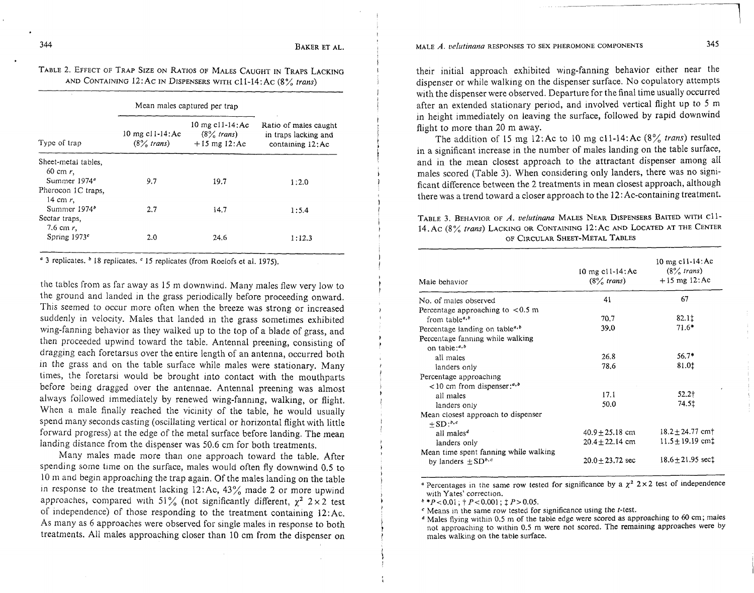## TABLE 2. EFFECT OF TRAP SIZE ON RATIOS OF MALES CAUGHT IN TRAPS LACKING AND CONTAINING 12: Ac IN DISPENSERS WITH cl l-14: Ac (8 % *trans)*

|                                                               | Mean males captured per trap          |                                                          |                                                                    |  |
|---------------------------------------------------------------|---------------------------------------|----------------------------------------------------------|--------------------------------------------------------------------|--|
| Type of trap                                                  | 10 mg c $11-14$ : Ac<br>$(8\%$ trans) | 10 mg $c11-14$ : Ac<br>$(8\%$ trans)<br>$+15$ mg $12:Ac$ | Ratio of males caught<br>in traps lacking and<br>containing 12: Ac |  |
| Sheet-metal tables,<br>$60 \text{ cm } r$ .                   |                                       |                                                          |                                                                    |  |
| Summer 1974 <sup>a</sup><br>Pherocon 1C traps.<br>14 cm $r$ . | 9.7                                   | 19.7                                                     | 1:2.0                                                              |  |
| Summer 1974 <sup>b</sup><br>Sectar traps,                     | 2.7                                   | 14.7                                                     | 1:5.4                                                              |  |
| 7.6 cm $r$ ,<br>Spring $1973c$                                | 2.0                                   | 24.6                                                     | 1:12.3                                                             |  |

<sup>4</sup> 3 replicates. <sup>b</sup> 18 replicates. <sup>c</sup> 15 replicates (from Roelofs et al. 1975).

the tables from as far away as 15 m downwind. Many males flew very low to the ground and landed in the grass periodically before proceeding onward. This seemed to occur more often when the breeze was strong or increased suddenly in velocity. Males that landed in the grass sometimes exhibited wing-fanning behavior as they walked up to the top of a blade of grass, and then proceeded upwind toward the table. Antennal preening, consisting of dragging each foretarsus over the entire length of an antenna, occurred both in the grass and on the table surface while males were stationary. Many times, the foretarsi would be brought into contact with the mouthparts before being dragged over the antennae. Antennal preening was almost always followed immediately by renewed wing-fanning, walking, or flight. When a male finally reached the vicinity of the table, he would usually spend many seconds casting (oscillating vertical or horizontal flight with little forward progress) at the edge of the metal surface before landing. The mean landing distance from the dispenser was 50.6 cm for both treatments.

Many males made more than one approach toward the table. After spending some time on the surface, males would often fly downwind 0.5 to 10 m and begin approaching the trap again. Of the males landing on the table in response to the treatment lacking  $12:$  Ac,  $43\%$  made 2 or more upwind approaches, compared with 51% (not significantly different,  $\chi^2$  2 x 2 test of independence) of those responding to the treatment contaming 12:Ac. As many as 6 approaches were observed for single males in response to both treatments. All males approaching closer than 10 cm from the dispenser on

#### MALE A. velutinana RESPONSES TO SEX PHEROMONE COMPONENTS

their initial approach exhibited wing-fanning behavior either near the dispenser or while walking on the dispenser surface. No copulatory attempts with the dispenser were observed. Departure for the final time usually occurred after an extended stationary period, and involved vertical flight up to 5 m in height immediately on leaving the surface, followed by rapid downwind flight to more than 20 m away.

The addition of 15 mg 12:Ac to 10 mg cl1-14:Ac (8% trans) resulted in a significant increase in the number of males landing on the table surface, and in the mean closest approach to the attractant dispenser among all males scored (Table 3). When considering only landers, there was no significant difference between the 2 treatments in mean closest approach, although there was a trend toward a closer approach to the 12:Ac-containing treatment.

### TABLE *3.* BEHAVIOR OF A. *ve/utinana* MALES NEAR DISPENSERS BAITED WlTH cll-14.Ac (8% *trans)* LACKING ORCONTAINING 12:Ac AND LOCATED ATTHE CENTER OF CIRCULAR SHEET-METAL TABLES

| Male behavior                                                               | 10 mg c11-14: Ac<br>$(8\%$ trans) | $10 \text{ mg}$ cl i-14: Ac<br>$(8\%$ trans)<br>$+15$ mg $12:Ac$ |
|-----------------------------------------------------------------------------|-----------------------------------|------------------------------------------------------------------|
| No. of males observed                                                       | 41                                | 67                                                               |
| Percentage approaching to $< 0.5$ m                                         |                                   |                                                                  |
| from table $a,b$                                                            | 70.7                              | 82.1‡                                                            |
| Percentage landing on table <sup><i>a</i>, b</sup>                          | 39.0                              | $71.6*$                                                          |
| Percentage fanning while walking<br>on table: $a, b$                        |                                   |                                                                  |
| all males                                                                   | 26.8                              | $56.7*$                                                          |
| landers only                                                                | 78.6                              | 81.0‡                                                            |
| Percentage approaching                                                      |                                   |                                                                  |
| $10$ cm from dispenser: <sup>4,b</sup>                                      |                                   |                                                                  |
| all males                                                                   | 17.1                              | $52.2$ †                                                         |
| landers only                                                                | 50.0                              | 74.5‡                                                            |
| Mean closest approach to dispenser<br>$+SD: b.c$                            |                                   |                                                                  |
| all males <sup>d</sup>                                                      | $40.9 + 25.18$ cm                 | $18.2 \pm 24.77$ cm <sup>+</sup>                                 |
| landers only                                                                | $20.4 + 22.14$ cm                 | $11.5 + 19.19$ cm <sup>+</sup>                                   |
| Mean time spent fanning while walking<br>by landers $\pm$ SD <sup>b,c</sup> | $20.0 + 23.72$ sec                | $18.6 + 21.95$ sect                                              |

<sup>a</sup> Percentages in the same row tested for significance by a  $\chi^2$  2 × 2 test of independence with Yates' correction.

 $b * P < 0.01$ ;  $\uparrow$  P < 0.001;  $\uparrow$  P > 0.05.

 $\epsilon$  Means in the same row tested for significance using the *t*-test.

<sup>4</sup> Males flying within 0.5 m of the table edge were scored as approaching to 60 cm; males not approaching to within 0.5 m were not scored. The remaining approaches were by males walking on the table surface.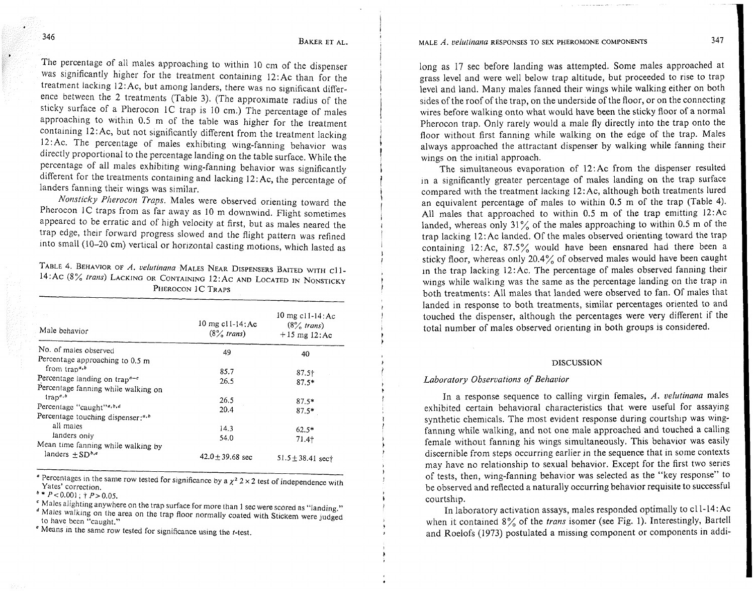MALE *A. velutinana* RESPONSES TO SEX PHEROMONE COMPONENTS 347

The percentage of all males approaching to within 10 cm of the dispenser was significantly higher for the treatment containing 12:Ac than for the treatment lacking 12:Ac, but among landers, there was no significant difference between the 2 treatments (Table 3). (The approximate radius of the sticky surface of a Pherocon 1C trap is 10 cm.) The percentage of males approaching to within 0.5 m of the table was higher for the treatment containing 12:Ac, but not significantly different from the treatment lacking 12:Ac. The percentage of males exhibiting wing-fanning behavior was directly proportional to the percentage landing on the table surface. While the percentage of all males exhibiting wing-fanning behavior was significantly different for the treatments containing and lacking 12:Ac, the percentage of landers fanning their wings was similar.

*Nonsticky Pherocon Traps.* Males were observed orienting toward the Pherocon IC traps from as far away as 10 m downwind. Flight sometimes appeared to be erratic and of high velocity at first, but as males neared the trap edge, their forward progress slowed and the flight pattern was refined into small (10-20 cm) vertical or horizontal casting motions, which lasted as

TABLE 4. BEHAVIOR OF *A. velutinana* MALES NEAR DISPENSERS BAITED WITH cl1-14: AC (8% *trans*) LACKING OR CONTAINING 12: AC AND LOCATED IN NONSTICKY PHEROCON 1C TRAPS

| Male behavior                                          | 10 mg $c11-14$ : Ac<br>$(8\%$ trans) | 10 mg $c11-14$ : Ac<br>$(8\%$ trans)<br>$+15$ mg 12:Ac |
|--------------------------------------------------------|--------------------------------------|--------------------------------------------------------|
| No. of males observed                                  | 49                                   | 40                                                     |
| Percentage approaching to 0.5 m                        |                                      |                                                        |
| from trap <sup>a,b</sup>                               | 85.7                                 | 87.5 <sub>†</sub>                                      |
| Percentage landing on trap <sup><math>a-c</math></sup> | 26.5                                 | $87.5*$                                                |
| Percentage fanning while walking on                    |                                      |                                                        |
| ${trap}^{a,b}$                                         | 26.5                                 | $87.5*$                                                |
| Percentage "caught" <sup>a,b,d</sup>                   | 20.4                                 | $87.5*$                                                |
| Percentage touching dispenser: <sup>a,b</sup>          |                                      |                                                        |
| all males                                              | 14.3                                 | $62.5*$                                                |
| landers only                                           | 54.0                                 | $71.4+$                                                |
| Mean time fanning while walking by                     |                                      |                                                        |
| landers $+SDb,e$                                       | $42.0 \pm 39.68$ sec                 | $51.5 \pm 38.41$ sect                                  |

<sup>a</sup> Percentages in the same row tested for significance by a  $\chi^2$  2 × 2 test of independence with Yates' correction.<br> $b * P < 0.001$ ; †  $P > 0.05$ .

" Males alighting anywhere on the trap surface for more than 1 sec were scored as "landing." <sup>d</sup> Males walking on the area on the trap floor normally coated with Stickem were judged to have been "caught."

 $^e$  Means in the same row tested for significance using the  $t$ -test.

long as 17 sec before landing was attempted. Some males approached at grass level and were well below trap altitude, but proceeded to rise to trap level and land. Many males fanned their wings while walking either on both sides of the roof of the trap, on the underside of the floor, or on the connecting wires before walking onto what would have been the sticky floor of a normal Pherocon trap. Only rarely would a male fly directly into the trap onto the floor without first fanning while walking on the edge of the trap. Males always approached the attractant dispenser by walking while fanning their wings on the initial approach.

The simultaneous evaporation of 12:Ac from the dispenser resulted in a significantly greater percentage of males landing on the trap surface compared with the treatment lacking 12:Ac, although both treatments lured an equivalent percentage of males to within 0.5 m of the trap (Table 4). All males that approached to within  $0.5$  m of the trap emitting  $12:Ac$ landed, whereas only 31% of the males approaching to within 0.5 m of the trap lacking 12: Ac landed. Of the males observed orienting toward the trap containing  $12:Ac$ ,  $87.5\%$  would have been ensnared had there been a sticky floor, whereas only 20.4% of observed males would have been caught in the trap lacking 12:Ac. The percentage of males observed fanning their wings while walking was the same as the percentage landing on the trap in both treatments: All males that landed were observed to fan. Of males that landed in response to both treatments, similar percentages oriented to and touched the dispenser, although the percentages were very different if the total number of males observed orienting in both groups is considered.

### **DISCUSSION**

### *Laboratory Observations of Behavior*

In a response sequence to calling virgin females, *A. velutinana* males exhibited certain behavioral characteristics that were useful for assaylng synthetic chemicals. The most evident response during courtship was wingfanning while walking, and not one male approached and touched a calling female without fanning his wings simultaneously. This behavior was easily discernible from steps occurring earlier in the sequence that in some contexts may have no relationship to sexual behavior. Except for the first two series of tests, then, wing-fanning behavior was selected as the "key response" to be observed and reflected a naturally occurring behavior requisite to successful courtship.

In laboratory activation assays, males responded optimally to cll-14:Ac when it contained 8% of the *trans* isomer (see Fig. 1). Interestingly, Bartell and Roelofs (1973) postulated a missing component or components in addi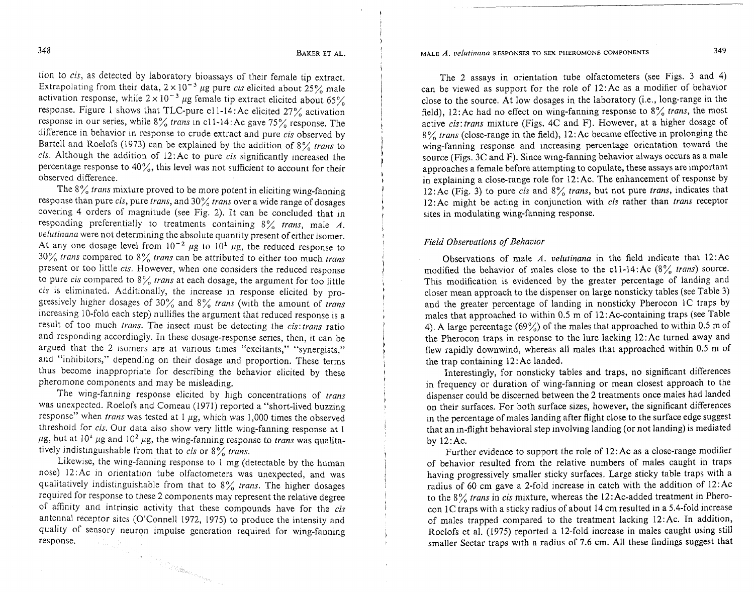348

tion to cis, as detected by laboratory bioassays of their female tip extract. Extrapolating from their data,  $2 \times 10^{-3}$  µg pure *cis* elicited about 25% male activation response, while  $2 \times 10^{-3}$  µg female tip extract elicited about 65% response. Figure 1 shows that TLC-pure cl1-14:Ac elicited  $27\%$  activation response in our series, while  $8\%$  trans in c11-14: Ac gave 75% response. The difference in behavior in response to crude extract and pure cis observed by Bartell and Roelofs (1973) can be explained by the addition of  $8\%$  trans to cis. Although the addition of 12:Ac to pure cis significantly increased the percentage response to 40%, this level was not sufficient to account for their observed difference.

The  $8\%$  trans mixture proved to be more potent in eliciting wing-fanning response than pure cis, pure trans, and  $30\%$  trans over a wide range of dosages covering 4 orders of magnitude (see Fig. 2). It can be concluded that in responding preferentially to treatments containing 8% trans, male *A.*  velutmana were not determining the absolute quantity present of either isomer. At any one dosage level from  $10^{-2}$   $\mu$ g to  $10^{1}$   $\mu$ g, the reduced response to  $30\%$  trans compared to  $8\%$  trans can be attributed to either too much trans present or too little cis. However, when one considers the reduced response to pure *cis* compared to  $8\frac{9}{6}$  *trans* at each dosage, the argument for too little cis is eliminated. Additionally, the increase in response elicited by progressively higher dosages of 30% and 8% trans (with the amount of trans increasing 10-fold each step) nullifies the argument that reduced response is a result of too much trans. The insect must be detecting the cis: trans ratio and responding accordingly. In these dosage-response series, then, it can be argued that the 2 isomers are at various times "excitants," "synergists," and "inhibitors," depending on their dosage and proportion. These terms thus become inappropriate for describing the behavior elicited by these pheromone components and may be misleading.

The wing-fanning response elicited by high concentrations of trans was unexpected. Roelofs and Comeau (1971) reported a "short-lived buzzing response" when trans was tested at  $1 \mu$ g, which was 1,000 times the observed threshold for cis. Our data also show very little wing-fanning response at 1  $\mu$ g, but at 10<sup>1</sup>  $\mu$ g and 10<sup>2</sup>  $\mu$ g, the wing-fanning response to *trans* was qualitatively indistinguishable from that to *cis* or  $8\%$  *trans.* 

Likewise, the wing-fanning response to 1 mg (detectable by the human nose) 12:Ac in orientation tube olfactometers was unexpected, and was qualitatively indistinguishable from that to  $8\%$  trans. The higher dosages required for response to these 2 components may represent the relative degree of affinity and intrinsic activity that these compounds have for the cis antcnnal receptor sites (O'Connell 1972, 1975) to produce the intensity and quality of sensory neuron impulse generation required for wing-fanning response. a sa di kacamatan ing Kabupatèn Propinsi Jawa Tanggarta Propinsi Jawa Tanggarta Propinsi Jawa Tanggarta Propinsi<br>Pangyayaran Pangyayaran Pangyayaran Pangyayaran Pangyayaran Pangyayaran Pangyayaran Pangyayaran Pangyayaran P

### MALE *A. velutmana* RESPONSES TO SEX PHEROMONE COMPONENTS **349**

The 2 assays in orientation tube olfactometers (see Figs. 3 and 4) can be viewed as support for the role of 12:Ac as a modifier of behavior close to the source. At low dosages in the laboratory (i.e., long-range in the field), 12: Ac had no effect on wing-fanning response to  $8\%$  trans, the most active cis:trans mixture (Figs. 4C and F). However, at a higher dosage of  $8\%$  trans (close-range in the field), 12:Ac became effective in prolonging the wing-fanning response and increasing percentage orientation toward the source (Figs. 3C and F). Since wing-fanning behavior always occurs as a male approaches a female before attempting to copulate, these assays are important in explaining a close-range role for 12:Ac. The enhancement of response by 12:Ac (Fig. 3) to pure cis and  $8\%$  trans, but not pure trans, indicates that 12: Ac might be acting in conjunction with *cis* rather than *trans* receptor sites in modulating wing-fanning response.

### Field Observations of Behavior

Observations of male *A. velutinana* in the field indicate that 12:Ac modified the behavior of males close to the c11-14:Ac  $(8\frac{9}{6}$  trans) source. This modification is evidenced by the greater percentage of landing and closer mean approach to the dispenser on large nonsticky tables (see Table 3) and the greater percentage of landing in nonsticky Pherocon 1C traps by males that approached to within 0.5 m of 12:Ac-containing traps (see Table 4). A large percentage (69%) of the males that approached to within 0.5 m of the Pherocon traps in response to the lure lacking 12:Ac turned away and flew rapidly downwind, whereas all males that approached within 0.5 m of the trap containing 12 : Ac landed.

Interestingly, for nonsticky tables and traps, no significant differences in frequency or duration of wing-fanning or mean closest approach to the dispenser could be discerned between the 2 treatments once males had landed on their surfaces. For both surface sizes, however, the significant differences in the percentage of males landing after flight close to the surface edge suggest that an in-flight behavioral step involving landing (or not landing) is mediated by 12:Ac.

Further evidence to support the role of 12:Ac as a close-range modifier of behavior resulted from the relative numbers of males caught in traps having progressively smaller sticky surfaces. Large sticky table traps with a radius of 60 cm gave a 2-fold increase in catch with the addition of 12:Ac to the  $8\%$  trans in cis mixture, whereas the 12: Ac-added treatment in Pherocon 1C traps with a sticky radius of about 14 cm resulted in a 5.4-fold increase of males trapped compared to the treatment lacking 12:Ac. In addition, Roelofs et al. (1975) reported a 12-fold increase in males caught using still smaller Sectar traps with a radius of 7.6 cm. All these findings suggest that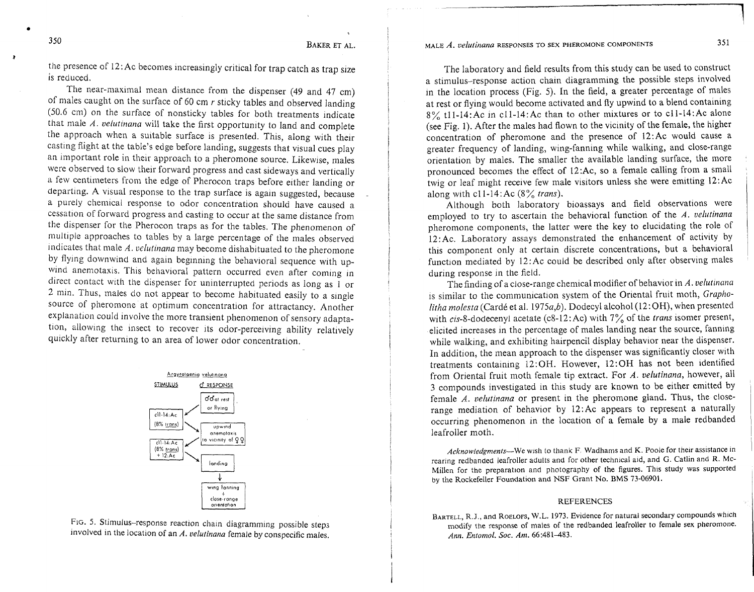MALE A. velutinana RESPONSES TO SEX PHEROMONE COMPONENTS

**350** BAKER FT AL.

the presence of 12:Ac becomes increasingly critical for trap catch as trap size is reduced.

The near-maximal mean distance from the dispenser (49 and 47 cm) of males caught on the surface of 60 cm  $r$  sticky tables and observed landing  $(50.6 \text{ cm})$  on the surface of nonsticky tables for both treatments indicate that male  $\Lambda$ . velutinana will take the first opportunity to land and complete the approach when a suitable surface is presented. This, along with their casting flight at the table's edge before landing, suggests that visual cues play an important role in their approach to a pheromone source. Likewise, males were observed to slow their forward progress and cast sideways and vertically a few centimeters from the edge of Pherocon traps before either landing or departing. A visual response to the trap surface is agam suggested, because a purely chemical response to odor concentration should have caused a cessation of forward progress and casting to occur at the same distance from the dispenser for the Pherocon traps as for the tables. The phenomenon of multiple approaches to tables by a large percentage of the males observed  $r$ indicates that male  $A$ . *velutinana* may become dishabituated to the pheromone by flying downwind and again beginning the behavioral sequence with upwind anemotaxis. This behavioral pattern occurred even after coming in direct contact with the dispenser for uninterrupted periods as long as 1 or 2 min. Thus, males do not appear to become habituated easily to a single source of pheromone at optimum concentration for attractancy. Another explanation could involve the more transient phenomenon of sensory adaptation, allowing the insect to recover its odor-perceiving ability relatively quickly after returning to an area of lower odor concentration.



FIG. 5. Stimulus-response reaction chain diagramming possible steps involved in the location of an *A. velutinana* female by conspecific males.

The laboratory and field results from this study can be used to construct a stimulus-response action chain diagramming the possible steps involved in the location process (Fig. 5). In the field, a greater percentage of males at rest or flying would become activated and fly upwind to a blend containing 8% tll-14:Ac In cll-14:Ac than to other mixtures or to c11-14:Ac alone (see Fig. 1). After the males had flown to the vicinity of the female, the higher concentration of pheromone and the presence of 12:Ac would cause a greater frequency of landing, wing-fanning while walking, and close-range orientation by males. The smaller the available landing surface, the more pronounced becomes the effect of 12:Ac, so a female calling from a small twig or leaf might receive few male visitors unless she were emltting 12:Ac along with  $c11-14$ : Ac (8% trans).

Although both laboratory bioassays and field observations were employed to try to ascertain the behavioral function of the  $A$ . *velutinana* pheromone components, the latter were the key to elucidating the role of  $12:$  Ac. Laboratory assays demonstrated the enhancement of activity by this component only at certain discrete concentrations, but a behavioral function mediated by  $12:Ac$  could be described only after observing males during response in the field.

The finding of a close-range chemical modifier of behavior in *A. velutinana* is similar to the communication system of the Oriental fruit moth, Grapholitha molesta (Cardé et al. 1975a,b). Dodecyl alcohol (12:OH), when presented with cis-8-dodecenyl acetate (c8-12:Ac) with  $7\%$  of the trans isomer present, elicited increases in the percentage of males landing near the source, fanning while walking, and exhibiting hairpencil display behavior near the dispenser. In addition, the mean approach to the dispenser was significantly closer with treatments containing 12: OH. However, 12: OH has not been identified from Oriental fruit moth female tip extract. For *A. velutinana*, however, all 3 compounds investigated in this study are known to be either emitted by female  $A$ . velutinana or present in the pheromone gland. Thus, the closerange mediation of behavior by 12:Ac appears to represent a naturally occurring phenomenon in the location of a female by a male redbanded leafroller moth.

*Acknowledgments*—We wish to thank F. Wadhams and K. Poole for their assistance in rearing redbanded leafroller adults and for other technical aid, and *G. Catlin and R. Mc-*Millen for the preparation and photography of the figures. This study was supported by the Rockefeller Foundation and NSF Grant No. BMS 73-06901.

#### REFERENCES

**BARTELL,** R.J., and ROELOFS, W.L. 1973. Evidence for natural secondary compounds which modify the response of males of the redbanded Ieafroiler to female sex pheromone. *Ann. Entomol.* **SOC.** *Am.* 66:481-483.

**a**